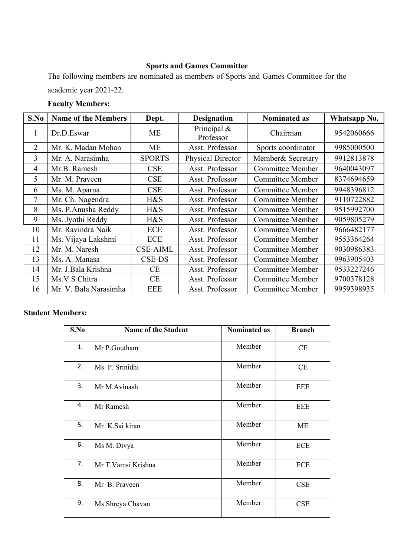## **Sports and Games Committee**

The following members are nominated as members of Sports and Games Committee for the academic year 2021-22.

## **Faculty Members:**

| S.No           | <b>Name of the Members</b> | Dept.           | <b>Designation</b>          | <b>Nominated as</b>     | Whatsapp No. |
|----------------|----------------------------|-----------------|-----------------------------|-------------------------|--------------|
| $\mathbf{I}$   | Dr.D.Eswar                 | ME              | Principal $\&$<br>Professor | Chairman                | 9542060666   |
| $\overline{2}$ | Mr. K. Madan Mohan         | ME              | Asst. Professor             | Sports coordinator      | 9985000500   |
| 3              | Mr. A. Narasimha           | <b>SPORTS</b>   | Physical Director           | Member& Secretary       | 9912813878   |
| 4              | Mr.B. Ramesh               | <b>CSE</b>      | Asst. Professor             | <b>Committee Member</b> | 9640043097   |
| 5              | Mr. M. Praveen             | <b>CSE</b>      | Asst. Professor             | <b>Committee Member</b> | 8374694659   |
| 6              | Ms. M. Aparna              | <b>CSE</b>      | Asst. Professor             | <b>Committee Member</b> | 9948396812   |
| 7              | Mr. Ch. Nagendra           | H&S             | Asst. Professor             | <b>Committee Member</b> | 9110722882   |
| 8              | Ms. P.Anusha Reddy         | H&S             | Asst. Professor             | <b>Committee Member</b> | 9515992700   |
| 9              | Ms. Jyothi Reddy           | H&S             | Asst. Professor             | <b>Committee Member</b> | 9059805279   |
| 10             | Mr. Ravindra Naik          | <b>ECE</b>      | Asst. Professor             | <b>Committee Member</b> | 9666482177   |
| 11             | Ms. Vijaya Lakshmi         | ECE             | Asst. Professor             | <b>Committee Member</b> | 9553364264   |
| 12             | Mr. M. Naresh              | <b>CSE-AIML</b> | Asst. Professor             | <b>Committee Member</b> | 9030986383   |
| 13             | Ms. A. Manasa              | <b>CSE-DS</b>   | Asst. Professor             | <b>Committee Member</b> | 9963905403   |
| 14             | Mr. J.Bala Krishna         | <b>CE</b>       | Asst. Professor             | <b>Committee Member</b> | 9533227246   |
| 15             | Ms.V.S Chitra              | <b>CE</b>       | Asst. Professor             | <b>Committee Member</b> | 9700378128   |
| 16             | Mr. V. Bala Narasimha      | <b>EEE</b>      | Asst. Professor             | <b>Committee Member</b> | 9959398935   |

## **Student Members:**

| S.No | <b>Name of the Student</b> | <b>Nominated as</b> | <b>Branch</b> |
|------|----------------------------|---------------------|---------------|
| 1.   | Mr P.Goutham               | Member              | CE            |
| 2.   | Ms. P. Srinidhi            | Member              | CE            |
| 3.   | Mr M.Avinash               | Member              | <b>EEE</b>    |
| 4.   | Mr Ramesh                  | Member              | <b>EEE</b>    |
| 5.   | Mr K.Sai kiran             | Member              | ME            |
| 6.   | Ms M. Divya                | Member              | <b>ECE</b>    |
| 7.   | Mr T.Vamsi Krishna         | Member              | <b>ECE</b>    |
| 8.   | Mr B. Praveen              | Member              | CSE           |
| 9.   | Ms Shreya Chavan           | Member              | <b>CSE</b>    |